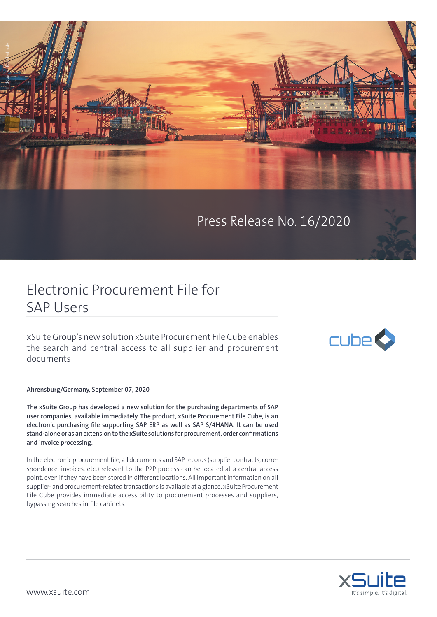

Press Release No. 16/2020

## Electronic Procurement File for SAP Users

xSuite Group's new solution xSuite Procurement File Cube enables the search and central access to all supplier and procurement documents

**Ahrensburg/Germany, September 07, 2020**

**The xSuite Group has developed a new solution for the purchasing departments of SAP user companies, available immediately. The product, xSuite Procurement File Cube, is an electronic purchasing file supporting SAP ERP as well as SAP S/4HANA. It can be used stand-alone or as an extension to the xSuite solutions for procurement, order confirmations and invoice processing.** 

In the electronic procurement file, all documents and SAP records (supplier contracts, correspondence, invoices, etc.) relevant to the P2P process can be located at a central access point, even if they have been stored in different locations. All important information on all supplier- and procurement-related transactions is available at a glance. xSuite Procurement File Cube provides immediate accessibility to procurement processes and suppliers, bypassing searches in file cabinets.